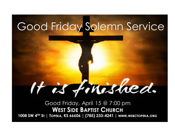# Good Friday Solemn Service

## Good Friday, April 15 @ 7:00 pm **WEST SIDE BAPTIST CHURCH**

1008 SW 4<sup>TH</sup> ST | TOPEKA, KS 66606 | (785) 233-4241 | WWW.WSBCTOPEKA.ORG

It is finished.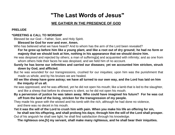## **"The Last Words of Jesus"**

## **WE GATHER IN THE PRESENCE OF GOD**

#### **PRELUDE**

#### **\*GREETING & CALL TO WORSHIP**

Blessed be our God – Father, Son, and Holy Spirit.

**Blessed be God for ever and ever. Amen.**

Who has believed what we have heard? And to whom has the arm of the Lord been revealed?

- **For he grew up before him like a young plant, and like a root out of dry ground; he had no form or majesty that we should look at him, nothing in his appearance that we should desire him.**
- He was despised and rejected by others; a man of suffering[a] and acquainted with infirmity; and as one from whom others hide their faces he was despised, and we held him of no account.
- **Surely he has borne our infirmities and carried our diseases; yet we accounted him stricken, struck down by God, and afflicted.**
- But he was wounded for our transgressions, crushed for our iniquities; upon him was the punishment that made us whole, and by his bruises we are healed.
- **All we like sheep have gone astray; we have all turned to our own way, and the Lord has laid on him the iniquity of us all.**
- He was oppressed, and he was afflicted, yet he did not open his mouth; like a lamb that is led to the slaughter, and like a sheep that before its shearers is silent, so he did not open his mouth.
- **By a perversion of justice he was taken away. Who could have imagined his future? For he was cut off from the land of the living, stricken for the transgression of my people.**
- They made his grave with the wicked and his tomb with the rich, although he had done no violence, and there was no deceit in his mouth.
- **Yet it was the will of the Lord to crush him with pain. When you make his life an offering for sin, he shall see his offspring, and shall prolong his days; through him the will of the Lord shall prosper.** Out of his anguish he shall see light; he shall find satisfaction through his knowledge.

 **The righteous one,[h] my servant, shall make many righteous, and he shall bear their iniquities.**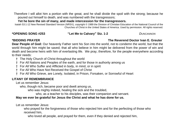Therefore I will allot him a portion with the great, and he shall divide the spoil with the strong; because he poured out himself to death, and was numbered with the transgressors;

#### **Yet he bore the sin of many, and made intercession for the transgressors.**

Isaiah 53:1-12 New Revised Standard Version (NRSV), copyright © 1989 the Division of Christian Education of the National Council of the Churches of Christ in the United States of America. Used by permission. All rights reserved.

#### **\*OPENING SONG #253 "Let Me to Calvary" Stz. 1-2** *DUNCANNON*

#### **\*BIDDING PRAYER The Reverend Doctor Ivan E. Greuter**

**Dear People of God:** Our heavenly Father sent his Son into the world, not to condemn the world, but that the world through him might be saved; that all who believe in him might be delivered from the power of win and death and become heirs with him of everlasting life. We pray, therefore, for the people everywhere according to their needs:

- † The Holy Church of Christ throughout the world
- † For All Nations and Peoples of the earth, and for those in authority among us
- † For All Who Suffer and Afflicted in body, in mind, or in spirit
- † For All Who Have Not Received the Gospel of Christ
- † For All Who Grieve, are Lonely, Isolated, in Prison, Forsaken, or Sorrowful of Heart

#### **LITANY OF REMEMBRANCE**

Let us remember Jesus:

who, though rich, became poor and dwelt among us,

who was mighty indeed, healing the sick and the troubled,

who, as a teacher to his disciples, was their companion and servant.

#### **May we ever be grateful for Jesus the Christ and what he has done for us.**

Let us remember Jesus:

who prayed for the forgiveness of those who rejected him and for the perfecting of those who received him,

who loved all people, and prayed for them, even if they denied and rejected him,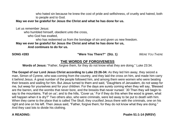who hated sin because he knew the cost of pride and selfishness, of cruelty and hatred, both to people and to God.

#### **May we ever be grateful for Jesus the Christ and what he has done for us.**

Let us remember Jesus:

who humbled himself, obedient unto the cross,

who God has exalted,

who has redeemed us from the bondage of sin and given us new freedom.

**May we ever be grateful for Jesus the Christ and what he has done for us,** 

**And continues to do for us.**

**SONG #283 "Were You There?" (Stz. 1)** *WERE YOU THERE*

#### **THE WORDS OF FORGIVENESS**

**Words of Jesus:** "Father, forgive them, for they do not know what they are doing." Luke 23:34.

**The Gospel of our Lord Jesus Christ according to Luke 23:26-34:** As they led him away, they seized a man, Simon of Cyrene, who was coming from the country, and they laid the cross on him, and made him carry it behind Jesus. A great number of the people followed him, and among them were women who were beating their breasts and wailing for him. But Jesus turned to them and said, "Daughters of Jerusalem, do not weep for me, but weep for yourselves and for your children. For the days are surely coming when they will say, 'Blessed are the barren, and the wombs that never bore, and the breasts that never nursed.' 30 Then they will begin to say to the mountains, 'Fall on us'; and to the hills, 'Cover us.' For if they do this when the wood is green, what will happen when it is dry?" Two others also, who were criminals, were led away to be put to death with him. When they came to the place that is called The Skull, they crucified Jesus there with the criminals, one on his right and one on his left. Then Jesus said, "Father, forgive them; for they do not know what they are doing." And they cast lots to divide his clothing.

**A READING: Psalm 51:1-14 (NRSV)**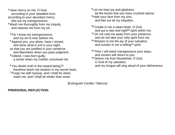**<sup>1</sup>** Have mercy on me, O God, according to your steadfast love; according to your abundant mercy blot out my transgressions. **<sup>2</sup>** Wash me thoroughly from my iniquity, and cleanse me from my sin.

**<sup>3</sup>** For I know my transgressions, and my sin is ever before me. **<sup>4</sup>** Against you, you alone, have I sinned, and done what is evil in your sight, so that you are justified in your sentence and blameless when you pass judgment. **5** Indeed, I was born guilty, a sinner when my mother conceived me.

<sup>6</sup> You desire truth in the inward being;<sup>[\[a\]](https://www.biblegateway.com/passage/?search=Psalms+51%3A1-14&version=NRSV#fen-NRSV-14698a)</sup> therefore teach me wisdom in my secret heart. **<sup>7</sup>** Purge me with hyssop, and I shall be clean; wash me, and I shall be whiter than snow.

**<sup>8</sup>** Let me hear joy and gladness; let the bones that you have crushed rejoice. **<sup>9</sup>** Hide your face from my sins, and blot out all my iniquities.

**<sup>10</sup>** Create in me a clean heart, O God, and put a new and right<sup>[\[b\]](https://www.biblegateway.com/passage/?search=Psalms+51%3A1-14&version=NRSV#fen-NRSV-14702b)</sup> spirit within me.

- **<sup>11</sup>** Do not cast me away from your presence, and do not take your holy spirit from me.
- **<sup>12</sup>** Restore to me the joy of your salvation, and sustain in me a willing<sup>[\[c\]](https://www.biblegateway.com/passage/?search=Psalms+51%3A1-14&version=NRSV#fen-NRSV-14704c)</sup> spirit.
- **<sup>13</sup>** Then I will teach transgressors your ways, and sinners will return to you.
- **<sup>14</sup>** Deliver me from bloodshed, O God, O God of my salvation, and my tongue will sing aloud of your deliverance.

[Extinguish Candle / Silence]

#### **PRERSONAL REFLECTION:**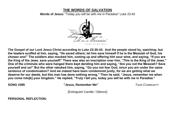#### **THE WORDS OF SALVATION**

**Words of Jesus:** "Today you will be with me in Paradise" Luke 23:43



**The Gospel of our Lord Jesus Christ according to Luke 23:35-43: And the people stood by, watching; but the leaders scoffed at him, saying, "He saved others; let him save himself if he is the Messiah of God, his chosen one!" The soldiers also mocked him, coming up and offering him sour wine, and saying, "If you are the King of the Jews, save yourself!" There was also an inscription over him, "This is the King of the Jews." One of the criminals who were hanged there kept deriding him and saying, "Are you not the Messiah? Save yourself and us!" But the other rebuked him, saying, "Do you not fear God, since you are under the same sentence of condemnation? And we indeed have been condemned justly, for we are getting what we deserve for our deeds, but this man has done nothing wrong." Then he said, "Jesus, remember me when you come into[k] your kingdom." He replied, "Truly I tell you, today you will be with me in Paradise."**

**SONG #285 "Jesus, Remember Me"** *TAIZE COMMUNITY*

[Extinguish Candle / Silence]

**PERSONAL REFLECTION:**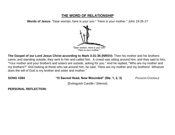## **THE WORD OF RELATIONSHIP**

**Words of Jesus:** "Dear woman, here is your son." "Here is your mother." John 19:26-27



**The Gospel of our Lord Jesus Christ according to Mark 3:31-35 (NRSV):** Then his mother and his brothers came; and standing outside, they sent to him and called him. A crowd was sitting around him; and they said to him, "Your mother and your brothers and sisters are outside, asking for you." And he replied, "Who are my mother and my brothers?" And looking at those who sat around him, he said, "Here are my mother and my brothers! Whoever does the will of God is my brother and sister and mother."

#### **SONG #284 "O Sacred Head, Now Wounded" (Stz. 1, 2, 3)** *PASSION CHORALE*

[Extinguish Candle / Silence]

**PERSONAL REFLECTION:**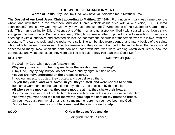### **THE WORD OF ABANDONMENT**

**Words of Jesus:** "My God, my God, why have you forsaken me?" Matthew 27:46

**The Gospel of our Lord Jesus Christ according to Matthew 27:45-54:** From noon on, darkness came over the whole land until three in the afternoon. And about three o'clock Jesus cried with a loud voice, "Eli, Eli, lema sabachthani?" that is, "My God, my God, why have you forsaken me?" When some of the bystanders heard it, they said, "This man is calling for Elijah." At once one of them ran and got a sponge, filled it with sour wine, put it on a stick, and gave it to him to drink. But the others said, "Wait, let us see whether Elijah will come to save him." Then Jesus cried again with a loud voice and breathed his last. At that moment the curtain of the temple was torn in two, from top to bottom. The earth shook, and the rocks were split. The tombs also were opened, and many bodies of the saints who had fallen asleep were raised. After his resurrection they came out of the tombs and entered the holy city and appeared to many. Now when the centurion and those with him, who were keeping watch over Jesus, saw the earthquake and what took place, they were terrified and said, "Truly this man was God's Son!"

#### **READING: Psalm 22:1-11 (NRSV)**

My God, my God, why have you forsaken me?

**Why are you so far from helping me, from the words of my groaning?**

O my God, I cry by day, but you do not answer; and by night, but find no rest.

**Yet you are holy, enthroned on the praises of Israel.**

In you our ancestors trusted; they trusted, and you delivered them.

**To you they cried, and were saved; in you they trusted, and were not put to shame.**

But I am a worm, and not human; scorned by others, and despised by the people.

**All who see me mock at me; they make mouths at me, they shake their heads;**

"Commit your cause to the Lord; let him deliver - let him rescue the one in whom he delights!"

**Yet it was you who took me from the womb; you kept me safe on my mother's breast.**

On you I was cast from my birth, and since my mother bore me you have been my God.

**Do not be far from me, for trouble is near and there is no one to help.**

**SOLO "O How He Loves You and Me"**

[Extinguish Candle / Silence]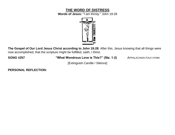#### **THE WORD OF DISTRESS**

**Words of Jesus:** "I am thirsty." John 19:28



**The Gospel of Our Lord Jesus Christ according to John 19:28**: After this, Jesus knowing that all things were now accomplished, that the scripture might be fulfilled, saith, I thirst.

**SONG #257 "What Wondrous Love is This?" (Stz. 1-2)** *APPALACHIAN FOLK HYMN*

[Extinguish Candle / Silence]

**PERSONAL REFLECTION:**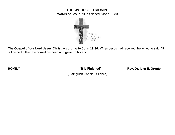#### **THE WORD OF TRIUMPH**

**Words of Jesus:** "It is finished." John 19:30



**The Gospel of our Lord Jesus Christ according to John 19:30:** When Jesus had received the wine, he said, "It is finished." Then he bowed his head and gave up his spirit.

**HOMILY "It Is Finished" Rev. Dr. Ivan E. Greuter** 

[Extinguish Candle / Silence]